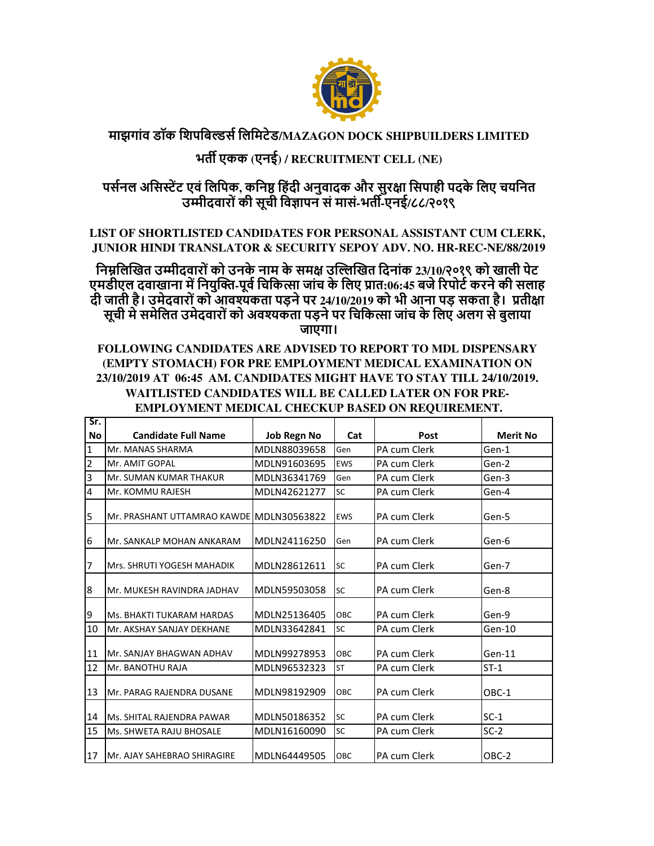

## **माझगांव डॉक िशपिबस िलिमटेड/MAZAGON DOCK SHIPBUILDERS LIMITED**

## **भत एकक (एनई) / RECRUITMENT CELL (NE)**

 **पसनल अिसट एवं िलिपक, किन िहंदी अनुवादक और सुर%ा िसपाही पदके िलए चयिनत उ)ीदवारों की सूची िव,ापन सं मासं-भत-एनई/८८/२०१९**

**LIST OF SHORTLISTED CANDIDATES FOR PERSONAL ASSISTANT CUM CLERK, JUNIOR HINDI TRANSLATOR & SECURITY SEPOY ADV. NO. HR-REC-NE/88/2019**

**िन2िल3खत उ)ीदवारों को उनके नाम के सम% उ353खत िदनांक 23/10/२०१९ को खाली पेट एमडीएल दवाखाना म िनयु36-पूव िचिक7ा जांच के िलए 9ात:06:45 बजे :रपोट करने की सलाह दी जाती है। उमेदवारों को आव>कता पड़ने पर 24/10/2019 को भी आना पड़ सकता है। 9ती%ा**  सूची में समेलित उमेदवारों को अवश्यकता पड़ने पर चिकित्सा जांच के लिए अलग से बुलाया **जाएगा।**

**FOLLOWING CANDIDATES ARE ADVISED TO REPORT TO MDL DISPENSARY (EMPTY STOMACH) FOR PRE EMPLOYMENT MEDICAL EXAMINATION ON 23/10/2019 AT 06:45 AM. CANDIDATES MIGHT HAVE TO STAY TILL 24/10/2019. WAITLISTED CANDIDATES WILL BE CALLED LATER ON FOR PRE-EMPLOYMENT MEDICAL CHECKUP BASED ON REQUIREMENT.**

| Sr.            |                                          |                    |            |              |                 |
|----------------|------------------------------------------|--------------------|------------|--------------|-----------------|
| <b>No</b>      | <b>Candidate Full Name</b>               | <b>Job Regn No</b> | Cat        | Post         | <b>Merit No</b> |
| 1              | Mr. MANAS SHARMA                         | MDLN88039658       | Gen        | PA cum Clerk | Gen-1           |
| $\overline{2}$ | Mr. AMIT GOPAL                           | MDLN91603695       | <b>EWS</b> | PA cum Clerk | Gen-2           |
| 3              | Mr. SUMAN KUMAR THAKUR                   | MDLN36341769       | Gen        | PA cum Clerk | Gen-3           |
| 4              | Mr. KOMMU RAJESH                         | MDLN42621277       | <b>SC</b>  | PA cum Clerk | Gen-4           |
| 5              | Mr. PRASHANT UTTAMRAO KAWDE MDLN30563822 |                    | <b>EWS</b> | PA cum Clerk | Gen-5           |
| 6              | Mr. SANKALP MOHAN ANKARAM                | MDLN24116250       | Gen        | PA cum Clerk | Gen-6           |
| 7              | Mrs. SHRUTI YOGESH MAHADIK               | MDLN28612611       | <b>SC</b>  | PA cum Clerk | Gen-7           |
| 8              | Mr. MUKESH RAVINDRA JADHAV               | MDLN59503058       | <b>SC</b>  | PA cum Clerk | Gen-8           |
| 9              | Ms. BHAKTI TUKARAM HARDAS                | MDLN25136405       | OBC        | PA cum Clerk | Gen-9           |
| 10             | Mr. AKSHAY SANJAY DEKHANE                | MDLN33642841       | <b>SC</b>  | PA cum Clerk | Gen-10          |
| 11             | Mr. SANJAY BHAGWAN ADHAV                 | MDLN99278953       | OBC        | PA cum Clerk | Gen-11          |
| 12             | Mr. BANOTHU RAJA                         | MDLN96532323       | <b>ST</b>  | PA cum Clerk | $ST-1$          |
| 13             | Mr. PARAG RAJENDRA DUSANE                | MDLN98192909       | OBC        | PA cum Clerk | OBC-1           |
| 14             | Ms. SHITAL RAJENDRA PAWAR                | MDLN50186352       | <b>SC</b>  | PA cum Clerk | $SC-1$          |
| 15             | Ms. SHWETA RAJU BHOSALE                  | MDLN16160090       | <b>SC</b>  | PA cum Clerk | $SC-2$          |
| 17             | IMr. AJAY SAHEBRAO SHIRAGIRE             | MDLN64449505       | OBC        | PA cum Clerk | OBC-2           |